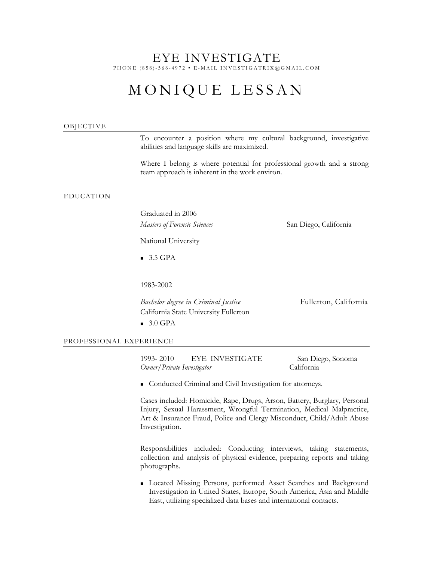# EYE INVESTIGATE PHONE (858) - 568 - 4972 • E - MAIL INVESTIGATRIX @GMAIL.COM

# MONIQUE LESSAN

#### OBJECTIVE

To encounter a position where my cultural background, investigative abilities and language skills are maximized.

Where I belong is where potential for professional growth and a strong team approach is inherent in the work environ.

#### EDUCATION

Graduated in 2006

*Masters of Forensic Sciences* San Diego, California

National University

 $-3.5$  GPA

1983-2002

*Bachelor degree in Criminal Justice* Fullerton, California California State University Fullerton  $\blacksquare$  3.0 GPA

PROFESSIONAL EXPERIENCE

1993- 2010 EYE INVESTIGATE San Diego, Sonoma *Owner/Private Investigator* California

**Conducted Criminal and Civil Investigation for attorneys.** 

Cases included: Homicide, Rape, Drugs, Arson, Battery, Burglary, Personal Injury, Sexual Harassment, Wrongful Termination, Medical Malpractice, Art & Insurance Fraud, Police and Clergy Misconduct, Child/Adult Abuse Investigation.

Responsibilities included: Conducting interviews, taking statements, collection and analysis of physical evidence, preparing reports and taking photographs.

 Located Missing Persons, performed Asset Searches and Background Investigation in United States, Europe, South America, Asia and Middle East, utilizing specialized data bases and international contacts.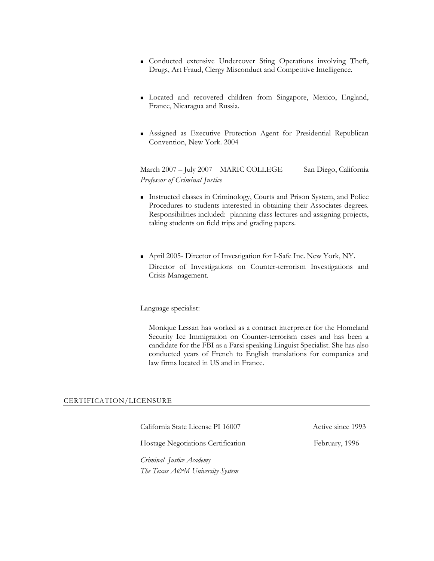- Conducted extensive Undercover Sting Operations involving Theft, Drugs, Art Fraud, Clergy Misconduct and Competitive Intelligence.
- Located and recovered children from Singapore, Mexico, England, France, Nicaragua and Russia.
- Assigned as Executive Protection Agent for Presidential Republican Convention, New York. 2004

March 2007 – July 2007 MARIC COLLEGE San Diego, California *Professor of Criminal Justice* 

- Instructed classes in Criminology, Courts and Prison System, and Police Procedures to students interested in obtaining their Associates degrees. Responsibilities included: planning class lectures and assigning projects, taking students on field trips and grading papers.
- April 2005- Director of Investigation for I-Safe Inc. New York, NY. Director of Investigations on Counter-terrorism Investigations and Crisis Management.

Language specialist:

Monique Lessan has worked as a contract interpreter for the Homeland Security Ice Immigration on Counter-terrorism cases and has been a candidate for the FBI as a Farsi speaking Linguist Specialist. She has also conducted years of French to English translations for companies and law firms located in US and in France.

#### CERTIFICATION/LICENSURE

California State License PI 16007 Active since 1993

Hostage Negotiations Certification February, 1996

*Criminal Justice Academy The Texas A&M University System*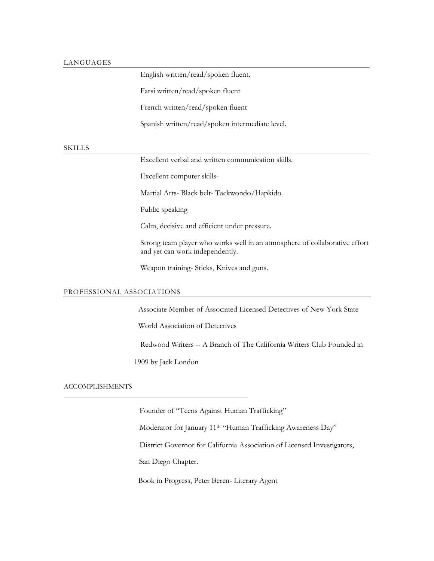# LANGUAGES

English written/read/spoken fluent.

Farsi written/read/spoken fluent

French written/read/spoken fluent

Spanish written/read/spoken intermediate level.

# SKILLS

Excellent verbal and written communication skills.

Excellent computer skills-

Martial Arts- Black belt- Taekwondo/Hapkido

Public speaking

Calm, decisive and efficient under pressure.

Strong team player who works well in an atmosphere of collaborative effort and yet can work independently.

Weapon training- Sticks, Knives and guns.

### PROFESSIONAL ASSOCIATIONS

Associate Member of Associated Licensed Detectives of New York State

World Association of Detectives

Redwood Writers -- A Branch of The California Writers Club Founded in

1909 by Jack London

\_\_\_\_\_\_\_\_\_\_\_\_\_\_\_\_\_\_\_\_\_\_\_\_\_\_\_\_\_\_\_\_\_\_\_\_\_\_\_\_\_\_\_\_\_\_\_\_\_\_\_\_

### ACCOMPLISHMENTS

Founder of "Teens Against Human Trafficking"

Moderator for January 11<sup>th</sup> "Human Trafficking Awareness Day"

District Governor for California Association of Licensed Investigators,

San Diego Chapter.

Book in Progress, Peter Beren- Literary Agent